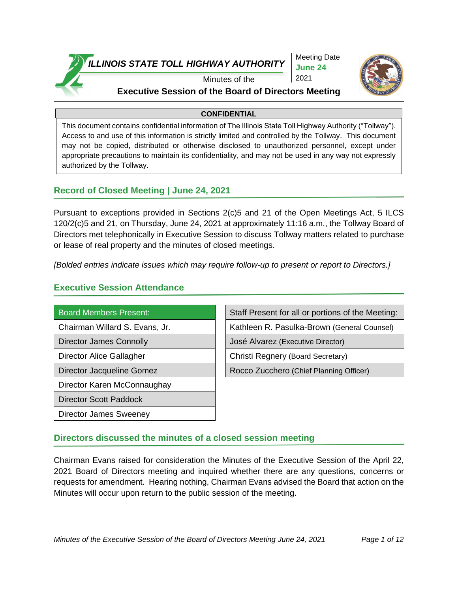

Meeting Date **June 24** 2021



### Minutes of the

# **Executive Session of the Board of Directors Meeting**

### **CONFIDENTIAL**

This document contains confidential information of The Illinois State Toll Highway Authority ("Tollway"). Access to and use of this information is strictly limited and controlled by the Tollway. This document may not be copied, distributed or otherwise disclosed to unauthorized personnel, except under appropriate precautions to maintain its confidentiality, and may not be used in any way not expressly authorized by the Tollway.

## **Record of Closed Meeting | June 24, 2021**

Pursuant to exceptions provided in Sections 2(c)5 and 21 of the Open Meetings Act, 5 ILCS 120/2(c)5 and 21, on Thursday, June 24, 2021 at approximately 11:16 a.m., the Tollway Board of Directors met telephonically in Executive Session to discuss Tollway matters related to purchase or lease of real property and the minutes of closed meetings.

*[Bolded entries indicate issues which may require follow-up to present or report to Directors.]*

## **Executive Session Attendance**

Director Karen McConnaughay

Director Scott Paddock

Director James Sweeney

Board Members Present: Staff Present for all or portions of the Meeting:

Chairman Willard S. Evans, Jr. Kathleen R. Pasulka-Brown (General Counsel)

Director James Connolly **Connolly** José Alvarez (Executive Director)

Director Alice Gallagher **Christi** Christi Regnery (Board Secretary)

Director Jacqueline Gomez **Rocco Zucchero (Chief Planning Officer)** 

## **Directors discussed the minutes of a closed session meeting**

Chairman Evans raised for consideration the Minutes of the Executive Session of the April 22, 2021 Board of Directors meeting and inquired whether there are any questions, concerns or requests for amendment. Hearing nothing, Chairman Evans advised the Board that action on the Minutes will occur upon return to the public session of the meeting.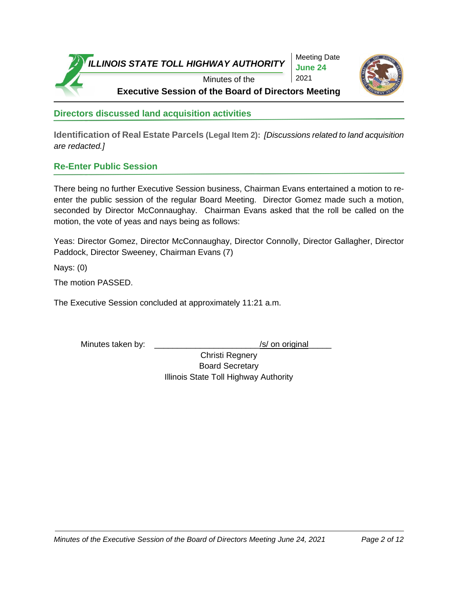

Meeting Date **June 24**



**Directors discussed land acquisition activities**

**Identification of Real Estate Parcels (Legal Item 2):** *[Discussions related to land acquisition are redacted.]* 

# **Re-Enter Public Session**

There being no further Executive Session business, Chairman Evans entertained a motion to reenter the public session of the regular Board Meeting. Director Gomez made such a motion, seconded by Director McConnaughay. Chairman Evans asked that the roll be called on the motion, the vote of yeas and nays being as follows:

Yeas: Director Gomez, Director McConnaughay, Director Connolly, Director Gallagher, Director Paddock, Director Sweeney, Chairman Evans (7)

Nays: (0)

The motion PASSED.

The Executive Session concluded at approximately 11:21 a.m.

Minutes taken by: \_\_\_\_\_\_\_\_\_\_\_\_\_\_\_\_\_\_\_\_\_\_\_\_\_\_\_\_\_\_\_\_\_\_/s/ on original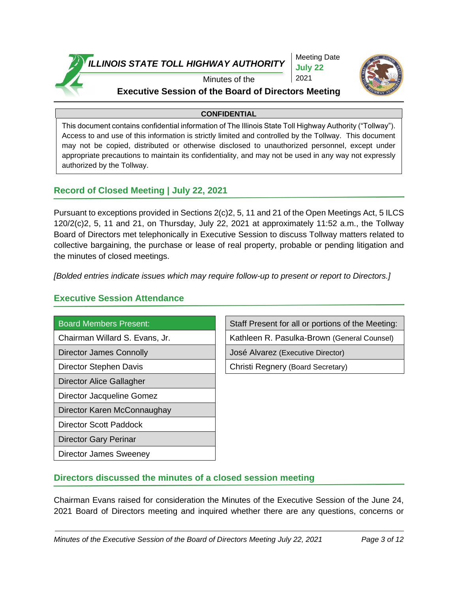

Meeting Date **July 22** 2021



Minutes of the

# **Executive Session of the Board of Directors Meeting**

### **CONFIDENTIAL**

This document contains confidential information of The Illinois State Toll Highway Authority ("Tollway"). Access to and use of this information is strictly limited and controlled by the Tollway. This document may not be copied, distributed or otherwise disclosed to unauthorized personnel, except under appropriate precautions to maintain its confidentiality, and may not be used in any way not expressly authorized by the Tollway.

# **Record of Closed Meeting | July 22, 2021**

Pursuant to exceptions provided in Sections 2(c)2, 5, 11 and 21 of the Open Meetings Act, 5 ILCS 120/2(c)2, 5, 11 and 21, on Thursday, July 22, 2021 at approximately 11:52 a.m., the Tollway Board of Directors met telephonically in Executive Session to discuss Tollway matters related to collective bargaining, the purchase or lease of real property, probable or pending litigation and the minutes of closed meetings.

*[Bolded entries indicate issues which may require follow-up to present or report to Directors.]*

### **Executive Session Attendance**

Director Alice Gallagher

Director Jacqueline Gomez

Director Karen McConnaughay

Director Scott Paddock

Director Gary Perinar

Director James Sweeney

Board Members Present: Staff Present for all or portions of the Meeting:

Chairman Willard S. Evans, Jr. Kathleen R. Pasulka-Brown (General Counsel)

Director James Connolly José Alvarez (Executive Director)

Director Stephen Davis Christi Regnery (Board Secretary)

## **Directors discussed the minutes of a closed session meeting**

Chairman Evans raised for consideration the Minutes of the Executive Session of the June 24, 2021 Board of Directors meeting and inquired whether there are any questions, concerns or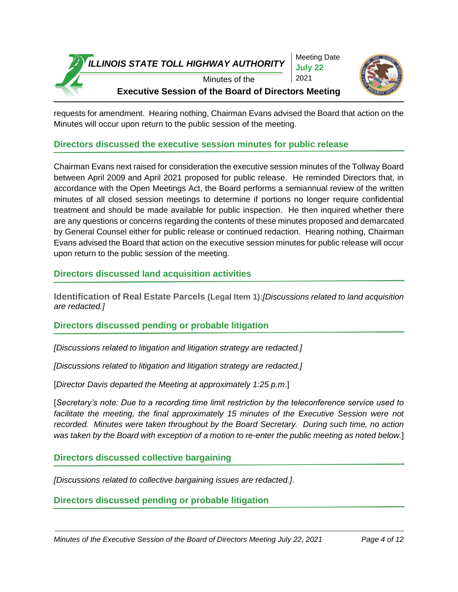

Meeting Date **July 22** 2021



### Minutes of the **Executive Session of the Board of Directors Meeting**

requests for amendment. Hearing nothing, Chairman Evans advised the Board that action on the Minutes will occur upon return to the public session of the meeting.

### **Directors discussed the executive session minutes for public release**

Chairman Evans next raised for consideration the executive session minutes of the Tollway Board between April 2009 and April 2021 proposed for public release. He reminded Directors that, in accordance with the Open Meetings Act, the Board performs a semiannual review of the written minutes of all closed session meetings to determine if portions no longer require confidential treatment and should be made available for public inspection. He then inquired whether there are any questions or concerns regarding the contents of these minutes proposed and demarcated by General Counsel either for public release or continued redaction. Hearing nothing, Chairman Evans advised the Board that action on the executive session minutes for public release will occur upon return to the public session of the meeting.

### **Directors discussed land acquisition activities**

**Identification of Real Estate Parcels (Legal Item 1):***[Discussions related to land acquisition are redacted.]* 

### **Directors discussed pending or probable litigation**

*[Discussions related to litigation and litigation strategy are redacted.]*

*[Discussions related to litigation and litigation strategy are redacted.]*

[*Director Davis departed the Meeting at approximately 1:25 p.m*.]

[*Secretary's note: Due to a recording time limit restriction by the teleconference service used to facilitate the meeting, the final approximately 15 minutes of the Executive Session were not recorded. Minutes were taken throughout by the Board Secretary. During such time, no action was taken by the Board with exception of a motion to re-enter the public meeting as noted below.*]

**Directors discussed collective bargaining**

*[Discussions related to collective bargaining issues are redacted.]*.

**Directors discussed pending or probable litigation**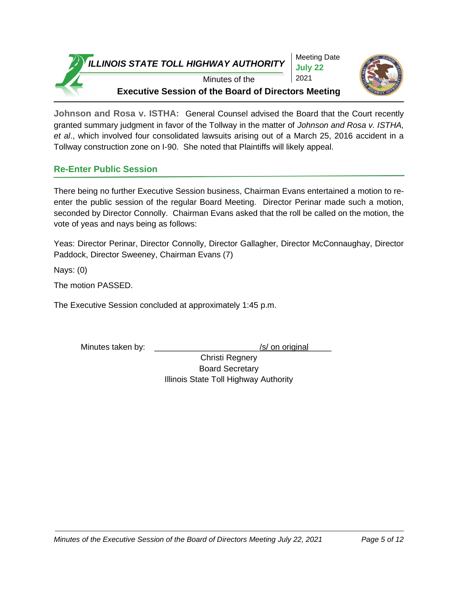Meeting Date **July 22** 2021



Minutes of the **Executive Session of the Board of Directors Meeting**

**Johnson and Rosa v. ISTHA:** General Counsel advised the Board that the Court recently granted summary judgment in favor of the Tollway in the matter of *Johnson and Rosa v. ISTHA, et al*., which involved four consolidated lawsuits arising out of a March 25, 2016 accident in a Tollway construction zone on I-90. She noted that Plaintiffs will likely appeal.

# **Re-Enter Public Session**

There being no further Executive Session business, Chairman Evans entertained a motion to reenter the public session of the regular Board Meeting. Director Perinar made such a motion, seconded by Director Connolly. Chairman Evans asked that the roll be called on the motion, the vote of yeas and nays being as follows:

Yeas: Director Perinar, Director Connolly, Director Gallagher, Director McConnaughay, Director Paddock, Director Sweeney, Chairman Evans (7)

Nays: (0)

The motion PASSED.

The Executive Session concluded at approximately 1:45 p.m.

Minutes taken by: \_\_\_\_\_\_\_\_\_\_\_\_\_\_\_\_\_\_\_\_\_\_\_\_\_\_\_\_\_\_\_\_\_/s/ on original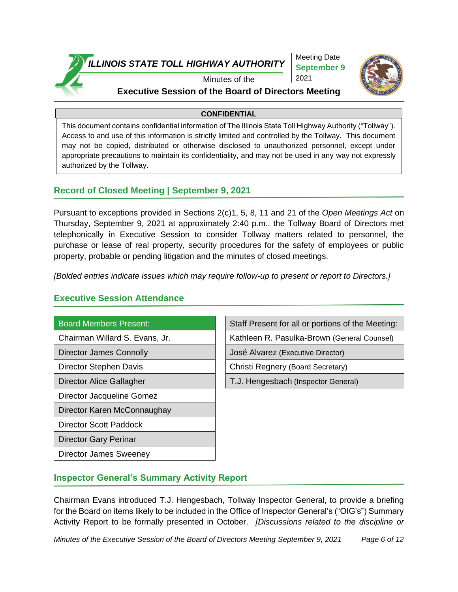

Meeting Date **September 9** 2021



# Minutes of the

### **Executive Session of the Board of Directors Meeting**

### **CONFIDENTIAL**

This document contains confidential information of The Illinois State Toll Highway Authority ("Tollway"). Access to and use of this information is strictly limited and controlled by the Tollway. This document may not be copied, distributed or otherwise disclosed to unauthorized personnel, except under appropriate precautions to maintain its confidentiality, and may not be used in any way not expressly authorized by the Tollway.

### **Record of Closed Meeting | September 9, 2021**

Pursuant to exceptions provided in Sections 2(c)1, 5, 8, 11 and 21 of the *Open Meetings Act* on Thursday, September 9, 2021 at approximately 2:40 p.m., the Tollway Board of Directors met telephonically in Executive Session to consider Tollway matters related to personnel, the purchase or lease of real property, security procedures for the safety of employees or public property, probable or pending litigation and the minutes of closed meetings.

*[Bolded entries indicate issues which may require follow-up to present or report to Directors.]*

### **Executive Session Attendance**

Director Jacqueline Gomez

Director Karen McConnaughay

Director Scott Paddock

Director Gary Perinar

Director James Sweeney

Board Members Present: Staff Present for all or portions of the Meeting:

Chairman Willard S. Evans, Jr. Kathleen R. Pasulka-Brown (General Counsel)

Director James Connolly **José Alvarez (Executive Director)** 

Director Stephen Davis Christi Regnery (Board Secretary)

Director Alice Gallagher T.J. Hengesbach (Inspector General)

# **Inspector General's Summary Activity Report**

Chairman Evans introduced T.J. Hengesbach, Tollway Inspector General, to provide a briefing for the Board on items likely to be included in the Office of Inspector General's ("OIG's") Summary Activity Report to be formally presented in October. *[Discussions related to the discipline or*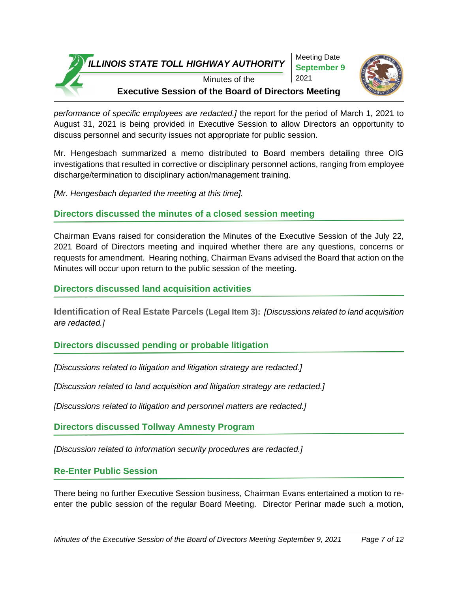Meeting Date **September 9** 2021



Minutes of the **Executive Session of the Board of Directors Meeting**

*performance of specific employees are redacted.]* the report for the period of March 1, 2021 to August 31, 2021 is being provided in Executive Session to allow Directors an opportunity to discuss personnel and security issues not appropriate for public session.

Mr. Hengesbach summarized a memo distributed to Board members detailing three OIG investigations that resulted in corrective or disciplinary personnel actions, ranging from employee discharge/termination to disciplinary action/management training.

*[Mr. Hengesbach departed the meeting at this time].*

# **Directors discussed the minutes of a closed session meeting**

Chairman Evans raised for consideration the Minutes of the Executive Session of the July 22, 2021 Board of Directors meeting and inquired whether there are any questions, concerns or requests for amendment. Hearing nothing, Chairman Evans advised the Board that action on the Minutes will occur upon return to the public session of the meeting.

# **Directors discussed land acquisition activities**

**Identification of Real Estate Parcels (Legal Item 3):** *[Discussions related to land acquisition are redacted.]*

# **Directors discussed pending or probable litigation**

*[Discussions related to litigation and litigation strategy are redacted.]* 

*[Discussion related to land acquisition and litigation strategy are redacted.]*

*[Discussions related to litigation and personnel matters are redacted.]*

**Directors discussed Tollway Amnesty Program**

*[Discussion related to information security procedures are redacted.]*

**Re-Enter Public Session**

There being no further Executive Session business, Chairman Evans entertained a motion to reenter the public session of the regular Board Meeting. Director Perinar made such a motion,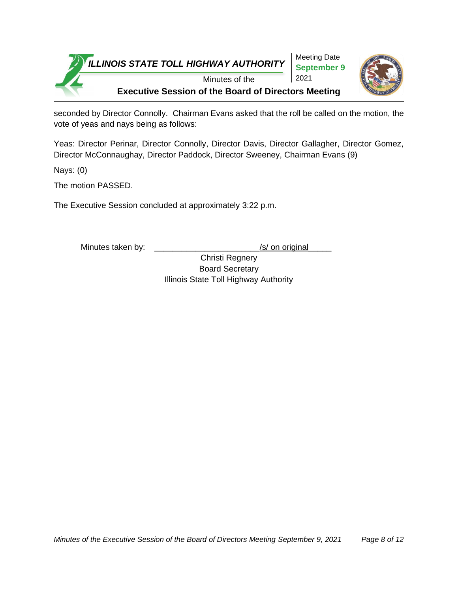

seconded by Director Connolly. Chairman Evans asked that the roll be called on the motion, the vote of yeas and nays being as follows:

Yeas: Director Perinar, Director Connolly, Director Davis, Director Gallagher, Director Gomez, Director McConnaughay, Director Paddock, Director Sweeney, Chairman Evans (9)

Nays: (0)

The motion PASSED.

The Executive Session concluded at approximately 3:22 p.m.

Minutes taken by: \_\_\_\_\_\_\_\_\_\_\_\_\_\_\_\_\_\_\_\_\_\_\_\_\_\_\_\_\_/s/ on original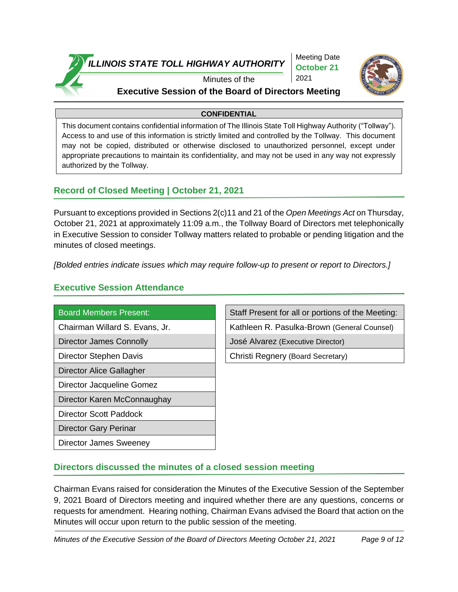

Meeting Date **October 21** 2021



# Minutes of the

# **Executive Session of the Board of Directors Meeting**

### **CONFIDENTIAL**

This document contains confidential information of The Illinois State Toll Highway Authority ("Tollway"). Access to and use of this information is strictly limited and controlled by the Tollway. This document may not be copied, distributed or otherwise disclosed to unauthorized personnel, except under appropriate precautions to maintain its confidentiality, and may not be used in any way not expressly authorized by the Tollway.

## **Record of Closed Meeting | October 21, 2021**

Pursuant to exceptions provided in Sections 2(c)11 and 21 of the *Open Meetings Act* on Thursday, October 21, 2021 at approximately 11:09 a.m., the Tollway Board of Directors met telephonically in Executive Session to consider Tollway matters related to probable or pending litigation and the minutes of closed meetings.

*[Bolded entries indicate issues which may require follow-up to present or report to Directors.]*

# **Executive Session Attendance**

Director Alice Gallagher

Director Jacqueline Gomez

Director Karen McConnaughay

Director Scott Paddock

Director Gary Perinar

Director James Sweeney

Board Members Present: Staff Present for all or portions of the Meeting:

Chairman Willard S. Evans, Jr. Kathleen R. Pasulka-Brown (General Counsel)

Director James Connolly **Connolly** José Alvarez (Executive Director)

Director Stephen Davis **Christi** Regnery (Board Secretary)

## **Directors discussed the minutes of a closed session meeting**

Chairman Evans raised for consideration the Minutes of the Executive Session of the September 9, 2021 Board of Directors meeting and inquired whether there are any questions, concerns or requests for amendment. Hearing nothing, Chairman Evans advised the Board that action on the Minutes will occur upon return to the public session of the meeting.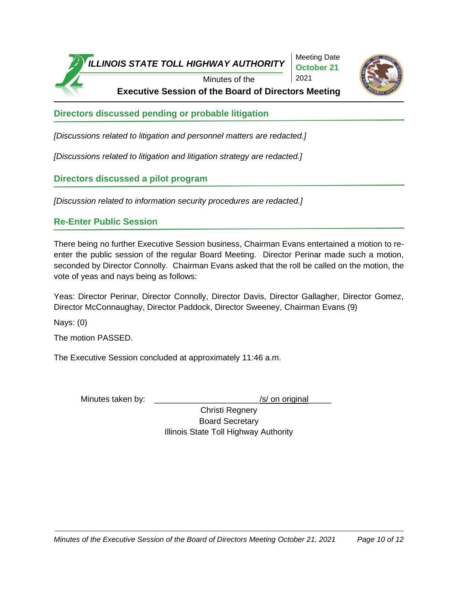

Meeting Date **October 21** 2021



**Executive Session of the Board of Directors Meeting**

**Directors discussed pending or probable litigation**

*[Discussions related to litigation and personnel matters are redacted.]*

*[Discussions related to litigation and litigation strategy are redacted.]*

# **Directors discussed a pilot program**

*[Discussion related to information security procedures are redacted.]*

# **Re-Enter Public Session**

There being no further Executive Session business, Chairman Evans entertained a motion to reenter the public session of the regular Board Meeting. Director Perinar made such a motion, seconded by Director Connolly. Chairman Evans asked that the roll be called on the motion, the vote of yeas and nays being as follows:

Yeas: Director Perinar, Director Connolly, Director Davis, Director Gallagher, Director Gomez, Director McConnaughay, Director Paddock, Director Sweeney, Chairman Evans (9)

Nays: (0)

The motion PASSED.

The Executive Session concluded at approximately 11:46 a.m.

Minutes taken by: \_\_\_\_\_\_\_\_\_\_\_\_\_\_\_\_\_\_\_\_\_\_\_\_\_\_\_\_\_\_\_\_\_\_/s/ on original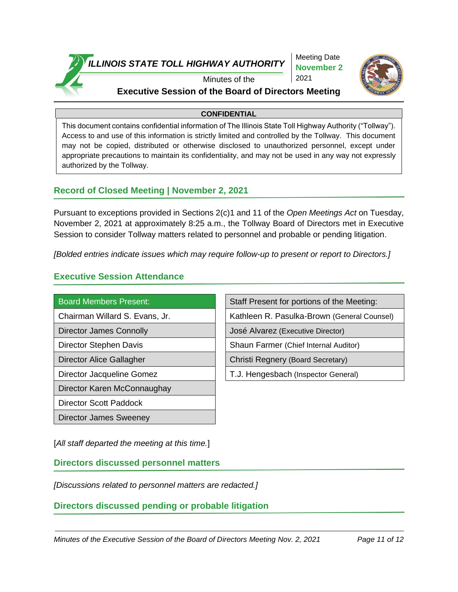

Meeting Date **November 2** 2021



### Minutes of the **Executive Session of the Board of Directors Meeting**

### **CONFIDENTIAL**

This document contains confidential information of The Illinois State Toll Highway Authority ("Tollway"). Access to and use of this information is strictly limited and controlled by the Tollway. This document may not be copied, distributed or otherwise disclosed to unauthorized personnel, except under appropriate precautions to maintain its confidentiality, and may not be used in any way not expressly authorized by the Tollway.

### **Record of Closed Meeting | November 2, 2021**

Pursuant to exceptions provided in Sections 2(c)1 and 11 of the *Open Meetings Act* on Tuesday, November 2, 2021 at approximately 8:25 a.m., the Tollway Board of Directors met in Executive Session to consider Tollway matters related to personnel and probable or pending litigation.

*[Bolded entries indicate issues which may require follow-up to present or report to Directors.]*

## **Executive Session Attendance**

Director Karen McConnaughay

Director Scott Paddock

Director James Sweeney

Board Members Present: Staff Present for portions of the Meeting:

Chairman Willard S. Evans, Jr. Kathleen R. Pasulka-Brown (General Counsel)

Director James Connolly **José Alvarez (Executive Director)** 

Director Stephen Davis Shaun Farmer (Chief Internal Auditor)

Director Alice Gallagher Christi Regnery (Board Secretary)

Director Jacqueline Gomez T.J. Hengesbach (Inspector General)

[*All staff departed the meeting at this time.*]

**Directors discussed personnel matters**

*[Discussions related to personnel matters are redacted.]*

**Directors discussed pending or probable litigation**